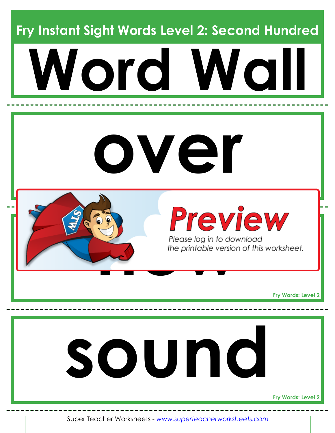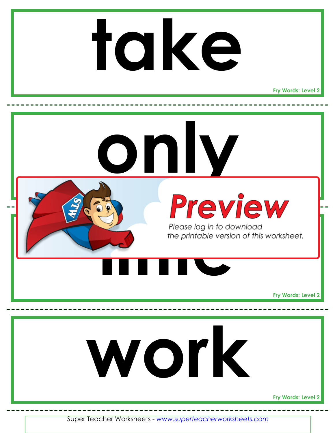

**Fry Words: Level 2**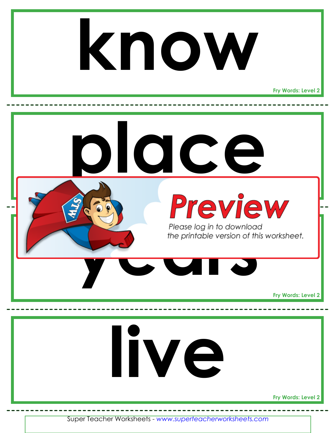### **know**

**Fry Words: Level 2**

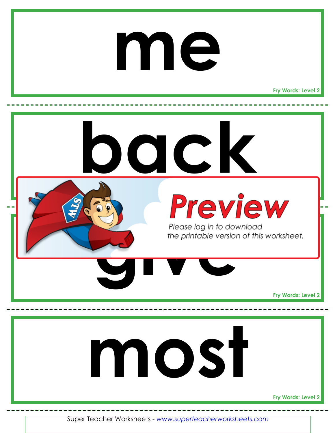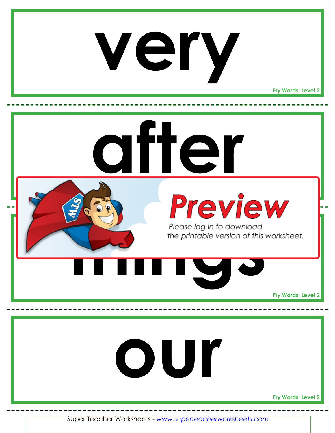### **very**

**Fry Words: Level 2**

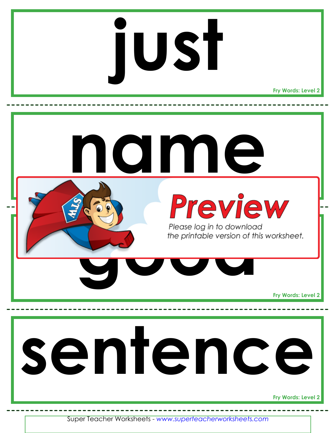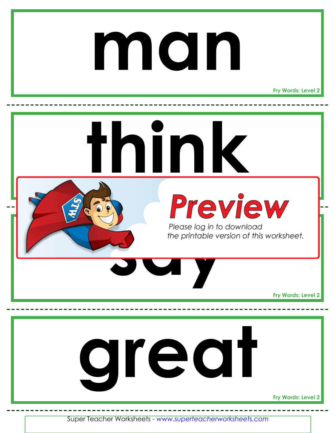### **man**

**Fry Words: Level 2**

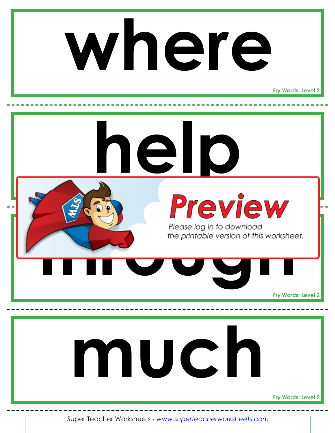

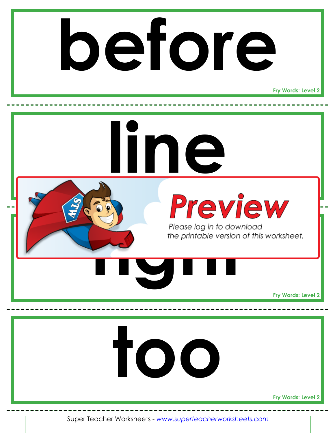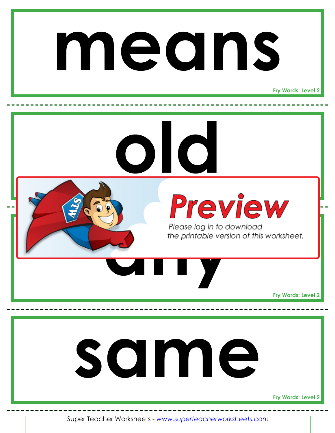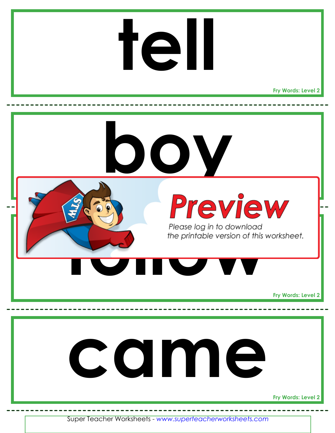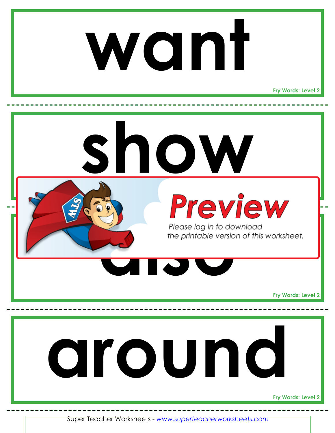

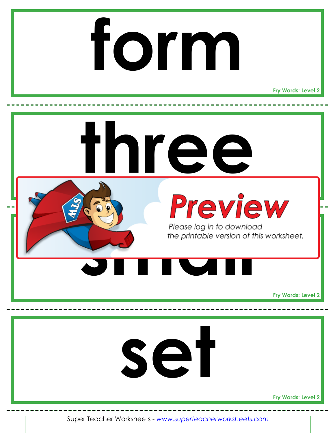## **form**

**Fry Words: Level 2**

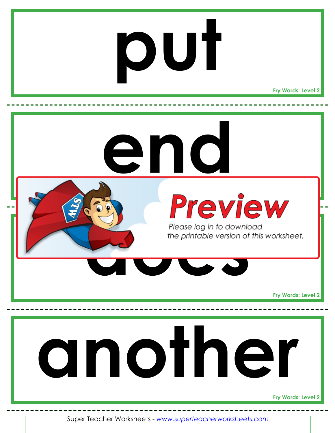## **put**

**Fry Words: Level 2**

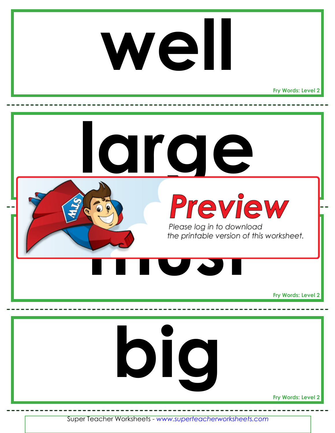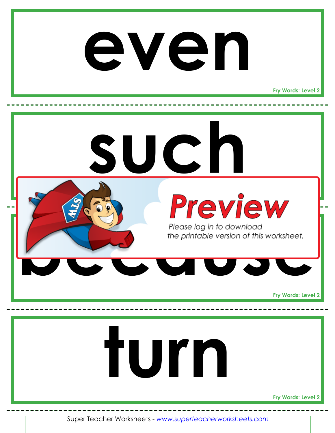#### **even**

**Fry Words: Level 2**

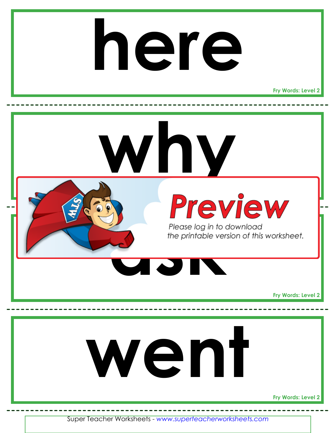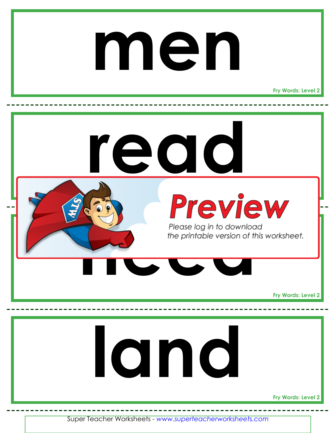#### **men**

**Fry Words: Level 2**

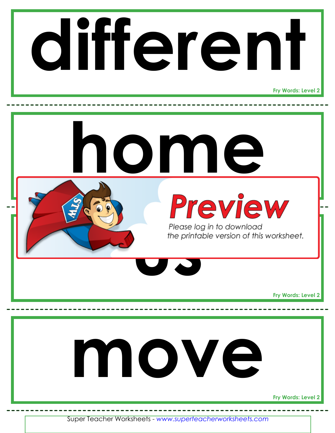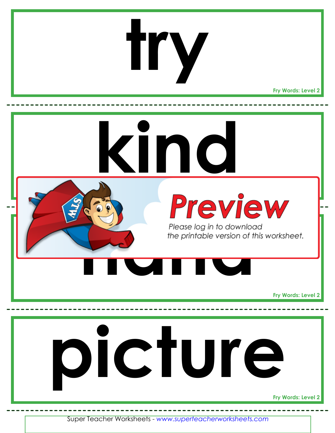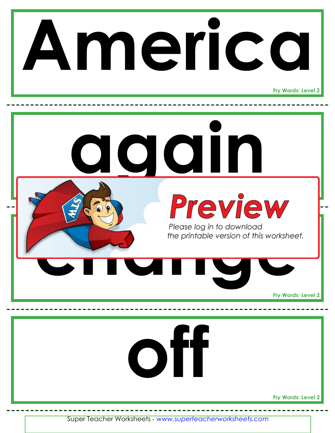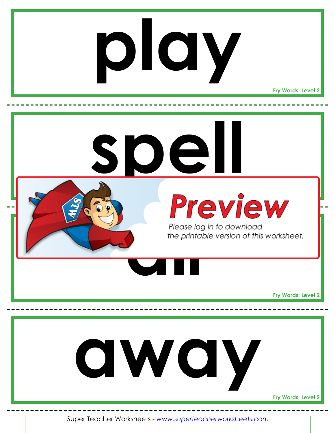# **play**

**Fry Words: Level 2**

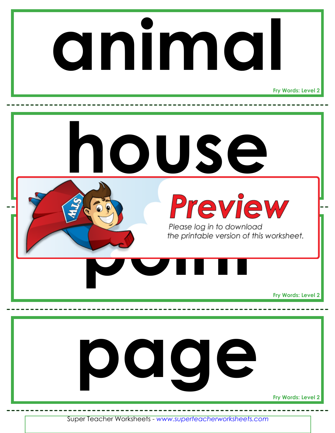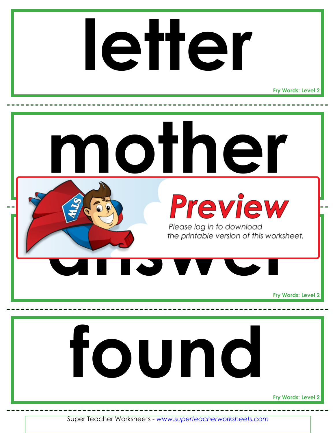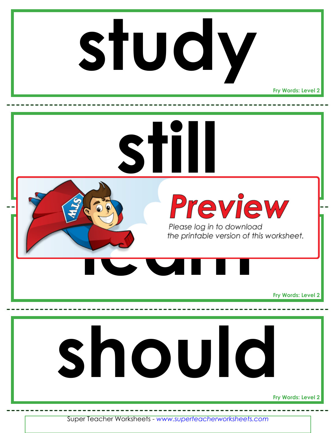